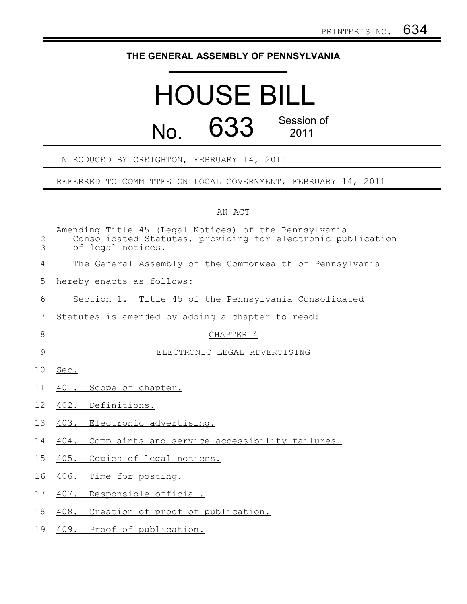## **THE GENERAL ASSEMBLY OF PENNSYLVANIA**

## HOUSE BILL No. 633 Session of 2011

## INTRODUCED BY CREIGHTON, FEBRUARY 14, 2011

REFERRED TO COMMITTEE ON LOCAL GOVERNMENT, FEBRUARY 14, 2011

## AN ACT

| $\mathbf{1}$<br>$\overline{c}$<br>3 | Amending Title 45 (Legal Notices) of the Pennsylvania<br>Consolidated Statutes, providing for electronic publication<br>of legal notices. |
|-------------------------------------|-------------------------------------------------------------------------------------------------------------------------------------------|
| $\overline{4}$                      | The General Assembly of the Commonwealth of Pennsylvania                                                                                  |
| 5                                   | hereby enacts as follows:                                                                                                                 |
| 6                                   | Section 1. Title 45 of the Pennsylvania Consolidated                                                                                      |
| $\overline{7}$                      | Statutes is amended by adding a chapter to read:                                                                                          |
| 8                                   | CHAPTER 4                                                                                                                                 |
| $\overline{9}$                      | ELECTRONIC LEGAL ADVERTISING                                                                                                              |
| 10                                  | Sec.                                                                                                                                      |
| 11                                  | 401. Scope of chapter.                                                                                                                    |
| 12                                  | 402. Definitions.                                                                                                                         |
| 13                                  | 403. Electronic advertising.                                                                                                              |
| 14                                  | 404. Complaints and service accessibility failures.                                                                                       |
| 15                                  | 405. Copies of legal notices.                                                                                                             |
| 16                                  | 406. Time for posting.                                                                                                                    |
| 17                                  | 407. Responsible official.                                                                                                                |
| 18                                  | 408. Creation of proof of publication.                                                                                                    |
| 19                                  | 409. Proof of publication.                                                                                                                |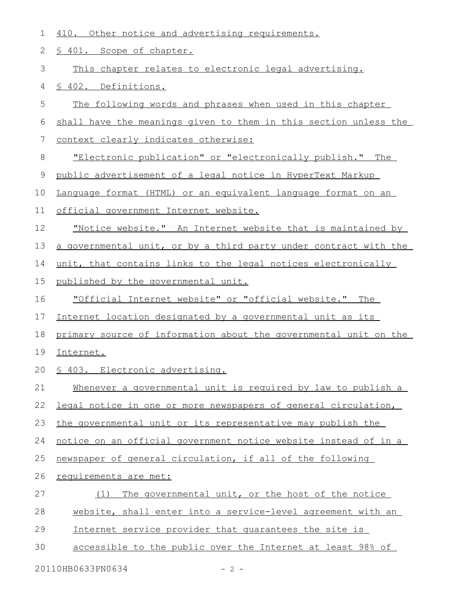| 1  | 410. Other notice and advertising requirements.                    |
|----|--------------------------------------------------------------------|
| 2  | § 401. Scope of chapter.                                           |
| 3  | This chapter relates to electronic legal advertising.              |
| 4  | § 402. Definitions.                                                |
| 5  | The following words and phrases when used in this chapter          |
| 6  | shall have the meanings given to them in this section unless the   |
| 7  | context clearly indicates otherwise:                               |
| 8  | "Electronic publication" or "electronically publish." The          |
| 9  | public advertisement of a legal notice in HyperText Markup         |
| 10 | Language format (HTML) or an equivalent language format on an      |
| 11 | official government Internet website.                              |
| 12 | <u>"Notice website." An Internet website that is maintained by</u> |
| 13 | a governmental unit, or by a third party under contract with the   |
| 14 | unit, that contains links to the legal notices electronically      |
| 15 | published by the governmental unit.                                |
| 16 | "Official Internet website" or "official website." The             |
| 17 | Internet location designated by a governmental unit as its         |
| 18 | primary source of information about the governmental unit on the   |
| 19 | Internet.                                                          |
|    | 20 § 403. Electronic advertising.                                  |
| 21 | Whenever a governmental unit is required by law to publish a       |
| 22 | legal notice in one or more newspapers of general circulation,     |
| 23 | the governmental unit or its representative may publish the        |
| 24 | notice on an official government notice website instead of in a    |
| 25 | newspaper of general circulation, if all of the following          |
| 26 | requirements are met:                                              |
| 27 | The governmental unit, or the host of the notice<br>(1)            |
| 28 | website, shall enter into a service-level agreement with an        |
| 29 | Internet service provider that quarantees the site is              |
| 30 | accessible to the public over the Internet at least 98% of         |
|    |                                                                    |

20110HB0633PN0634 - 2 -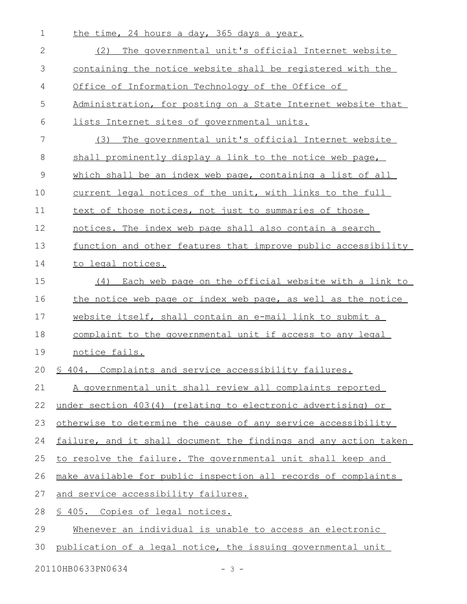| $\mathbf 1$     | the time, 24 hours a day, 365 days a year.                       |
|-----------------|------------------------------------------------------------------|
| 2               | (2)<br>The governmental unit's official Internet website         |
| 3               | containing the notice website shall be registered with the       |
| 4               | Office of Information Technology of the Office of                |
| 5               | Administration, for posting on a State Internet website that     |
| 6               | lists Internet sites of governmental units.                      |
| $7\phantom{.0}$ | The governmental unit's official Internet website<br>(3)         |
| 8               | shall prominently display a link to the notice web page,         |
| $\mathcal{G}$   | which shall be an index web page, containing a list of all       |
| 10              | current legal notices of the unit, with links to the full        |
| 11              | text of those notices, not just to summaries of those            |
| 12              | notices. The index web page shall also contain a search          |
| 13              | function and other features that improve public accessibility    |
| 14              | to legal notices.                                                |
| 15              | (4) Each web page on the official website with a link to         |
| 16              | the notice web page or index web page, as well as the notice     |
| 17              | website itself, shall contain an e-mail link to submit a         |
| 18              | complaint to the governmental unit if access to any legal        |
| 19              | notice fails.                                                    |
| 20              | \$ 404. Complaints and service accessibility failures.           |
| 21              | A governmental unit shall review all complaints reported         |
| 22              | under section 403(4) (relating to electronic advertising) or     |
| 23              | otherwise to determine the cause of any service accessibility    |
| 24              | failure, and it shall document the findings and any action taken |
| 25              | to resolve the failure. The governmental unit shall keep and     |
| 26              | make available for public inspection all records of complaints   |
| 27              | and service accessibility failures.                              |
| 28              | \$ 405. Copies of legal notices.                                 |
| 29              | Whenever an individual is unable to access an electronic         |
| 30              | publication of a legal notice, the issuing governmental unit     |

20110HB0633PN0634 - 3 -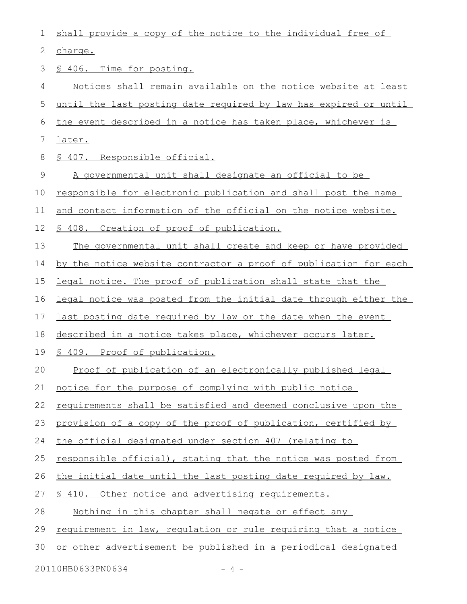| $\mathbf 1$ | shall provide a copy of the notice to the individual free of     |
|-------------|------------------------------------------------------------------|
| 2           | charge.                                                          |
| 3           | \$ 406. Time for posting.                                        |
| 4           | Notices shall remain available on the notice website at least    |
| 5           | until the last posting date required by law has expired or until |
| 6           | the event described in a notice has taken place, whichever is    |
| 7           | later.                                                           |
| 8           | § 407. Responsible official.                                     |
| $\mathsf 9$ | A governmental unit shall designate an official to be            |
| 10          | responsible for electronic publication and shall post the name   |
| 11          | and contact information of the official on the notice website.   |
| 12          | \$ 408. Creation of proof of publication.                        |
| 13          | The governmental unit shall create and keep or have provided     |
| 14          | by the notice website contractor a proof of publication for each |
| 15          | legal notice. The proof of publication shall state that the      |
| 16          | legal notice was posted from the initial date through either the |
| 17          | last posting date required by law or the date when the event     |
| 18          | described in a notice takes place, whichever occurs later.       |
| 19          | \$ 409. Proof of publication.                                    |
| 20          | Proof of publication of an electronically published legal        |
| 21          | notice for the purpose of complying with public notice           |
| 22          | requirements shall be satisfied and deemed conclusive upon the   |
| 23          | provision of a copy of the proof of publication, certified by    |
| 24          | the official designated under section 407 (relating to           |
| 25          | responsible official), stating that the notice was posted from   |
| 26          | the initial date until the last posting date required by law.    |
| 27          | \$ 410. Other notice and advertising requirements.               |
| 28          | Nothing in this chapter shall negate or effect any               |
| 29          | requirement in law, requlation or rule requiring that a notice   |
| 30          | or other advertisement be published in a periodical designated   |
|             | 20110HB0633PN0634<br>4 –                                         |